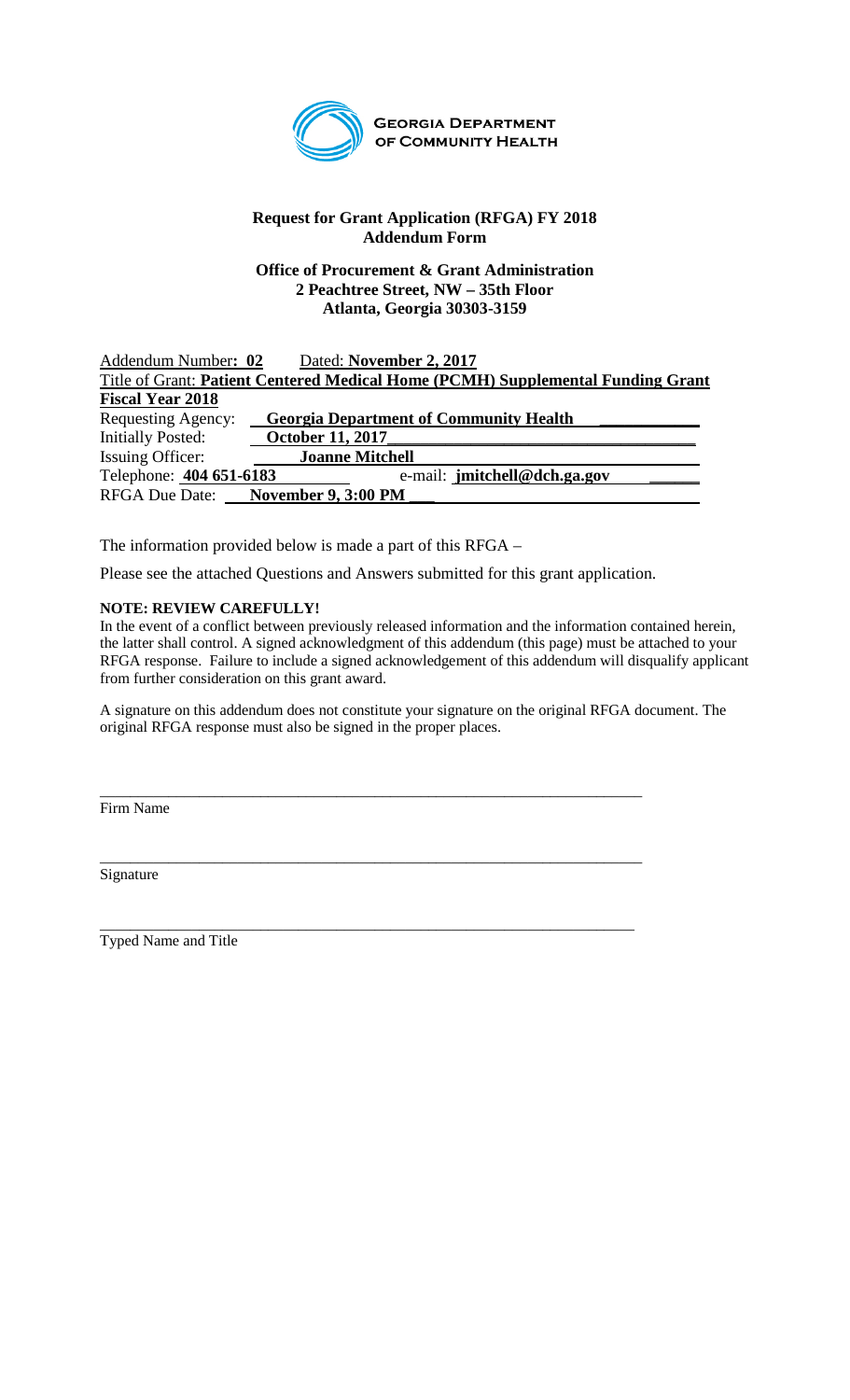

**GEORGIA DEPARTMENT** OF COMMUNITY HEALTH

## **Request for Grant Application (RFGA) FY 2018 Addendum Form**

## **Office of Procurement & Grant Administration 2 Peachtree Street, NW – 35th Floor Atlanta, Georgia 30303-3159**

| Addendum Number: 02      | Dated: November 2, 2017                                                         |  |
|--------------------------|---------------------------------------------------------------------------------|--|
|                          | Title of Grant: Patient Centered Medical Home (PCMH) Supplemental Funding Grant |  |
| <b>Fiscal Year 2018</b>  |                                                                                 |  |
| Requesting Agency:       | <b>Georgia Department of Community Health</b>                                   |  |
| <b>Initially Posted:</b> | <b>October 11, 2017</b>                                                         |  |
| <b>Issuing Officer:</b>  | <b>Joanne Mitchell</b>                                                          |  |
| Telephone: 404 651-6183  | e-mail: jmitchell@dch.ga.gov                                                    |  |
|                          | RFGA Due Date: November 9, 3:00 PM                                              |  |

The information provided below is made a part of this RFGA –

Please see the attached Questions and Answers submitted for this grant application.

\_\_\_\_\_\_\_\_\_\_\_\_\_\_\_\_\_\_\_\_\_\_\_\_\_\_\_\_\_\_\_\_\_\_\_\_\_\_\_\_\_\_\_\_\_\_\_\_\_\_\_\_\_\_\_\_\_\_\_\_\_\_\_\_\_\_\_\_\_\_\_

## **NOTE: REVIEW CAREFULLY!**

In the event of a conflict between previously released information and the information contained herein, the latter shall control. A signed acknowledgment of this addendum (this page) must be attached to your RFGA response. Failure to include a signed acknowledgement of this addendum will disqualify applicant from further consideration on this grant award.

A signature on this addendum does not constitute your signature on the original RFGA document. The original RFGA response must also be signed in the proper places.

Firm Name

\_\_\_\_\_\_\_\_\_\_\_\_\_\_\_\_\_\_\_\_\_\_\_\_\_\_\_\_\_\_\_\_\_\_\_\_\_\_\_\_\_\_\_\_\_\_\_\_\_\_\_\_\_\_\_\_\_\_\_\_\_\_\_\_\_\_\_\_\_\_\_ Signature

\_\_\_\_\_\_\_\_\_\_\_\_\_\_\_\_\_\_\_\_\_\_\_\_\_\_\_\_\_\_\_\_\_\_\_\_\_\_\_\_\_\_\_\_\_\_\_\_\_\_\_\_\_\_\_\_\_\_\_\_\_\_\_\_\_\_\_\_\_\_ Typed Name and Title